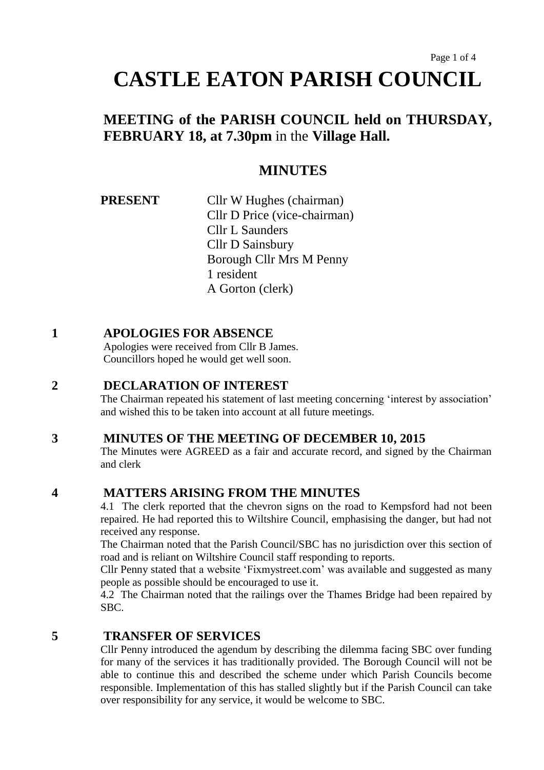# **MEETING of the PARISH COUNCIL held on THURSDAY, FEBRUARY 18, at 7.30pm** in the **Village Hall.**

# **MINUTES**

**PRESENT** Cllr W Hughes (chairman) Cllr D Price (vice-chairman) Cllr L Saunders Cllr D Sainsbury Borough Cllr Mrs M Penny 1 resident A Gorton (clerk)

# **1 APOLOGIES FOR ABSENCE**

Apologies were received from Cllr B James. Councillors hoped he would get well soon.

# **2 DECLARATION OF INTEREST**

The Chairman repeated his statement of last meeting concerning 'interest by association' and wished this to be taken into account at all future meetings.

# **3 MINUTES OF THE MEETING OF DECEMBER 10, 2015**

The Minutes were AGREED as a fair and accurate record, and signed by the Chairman and clerk

# **4 MATTERS ARISING FROM THE MINUTES**

4.1 The clerk reported that the chevron signs on the road to Kempsford had not been repaired. He had reported this to Wiltshire Council, emphasising the danger, but had not received any response.

The Chairman noted that the Parish Council/SBC has no jurisdiction over this section of road and is reliant on Wiltshire Council staff responding to reports.

Cllr Penny stated that a website 'Fixmystreet.com' was available and suggested as many people as possible should be encouraged to use it.

4.2 The Chairman noted that the railings over the Thames Bridge had been repaired by SBC.

# **5 TRANSFER OF SERVICES**

Cllr Penny introduced the agendum by describing the dilemma facing SBC over funding for many of the services it has traditionally provided. The Borough Council will not be able to continue this and described the scheme under which Parish Councils become responsible. Implementation of this has stalled slightly but if the Parish Council can take over responsibility for any service, it would be welcome to SBC.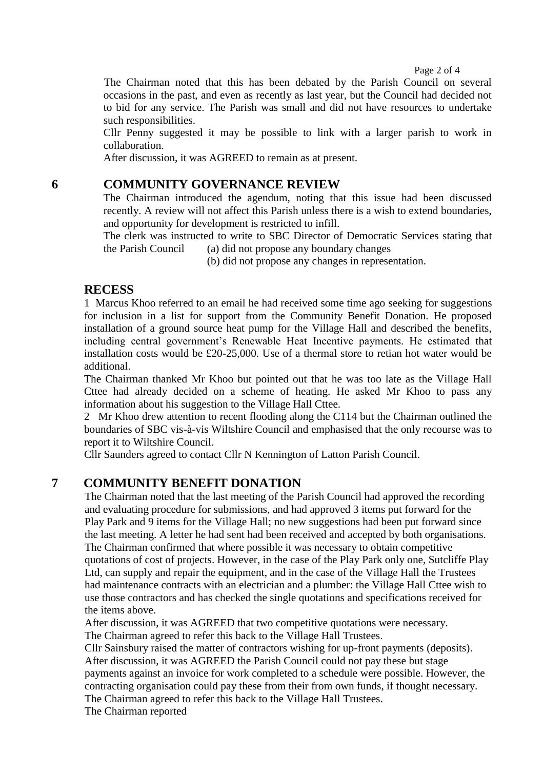#### Page 2 of 4

The Chairman noted that this has been debated by the Parish Council on several occasions in the past, and even as recently as last year, but the Council had decided not to bid for any service. The Parish was small and did not have resources to undertake such responsibilities.

Cllr Penny suggested it may be possible to link with a larger parish to work in collaboration.

After discussion, it was AGREED to remain as at present.

## **6 COMMUNITY GOVERNANCE REVIEW**

The Chairman introduced the agendum, noting that this issue had been discussed recently. A review will not affect this Parish unless there is a wish to extend boundaries, and opportunity for development is restricted to infill.

The clerk was instructed to write to SBC Director of Democratic Services stating that the Parish Council (a) did not propose any boundary changes

(b) did not propose any changes in representation.

### **RECESS**

1 Marcus Khoo referred to an email he had received some time ago seeking for suggestions for inclusion in a list for support from the Community Benefit Donation. He proposed installation of a ground source heat pump for the Village Hall and described the benefits, including central government's Renewable Heat Incentive payments. He estimated that installation costs would be £20-25,000. Use of a thermal store to retian hot water would be additional.

The Chairman thanked Mr Khoo but pointed out that he was too late as the Village Hall Cttee had already decided on a scheme of heating. He asked Mr Khoo to pass any information about his suggestion to the Village Hall Cttee.

2 Mr Khoo drew attention to recent flooding along the C114 but the Chairman outlined the boundaries of SBC vis-à-vis Wiltshire Council and emphasised that the only recourse was to report it to Wiltshire Council.

Cllr Saunders agreed to contact Cllr N Kennington of Latton Parish Council.

## **7 COMMUNITY BENEFIT DONATION**

The Chairman noted that the last meeting of the Parish Council had approved the recording and evaluating procedure for submissions, and had approved 3 items put forward for the Play Park and 9 items for the Village Hall; no new suggestions had been put forward since the last meeting. A letter he had sent had been received and accepted by both organisations. The Chairman confirmed that where possible it was necessary to obtain competitive quotations of cost of projects. However, in the case of the Play Park only one, Sutcliffe Play Ltd, can supply and repair the equipment, and in the case of the Village Hall the Trustees had maintenance contracts with an electrician and a plumber: the Village Hall Cttee wish to use those contractors and has checked the single quotations and specifications received for the items above.

After discussion, it was AGREED that two competitive quotations were necessary. The Chairman agreed to refer this back to the Village Hall Trustees.

Cllr Sainsbury raised the matter of contractors wishing for up-front payments (deposits). After discussion, it was AGREED the Parish Council could not pay these but stage payments against an invoice for work completed to a schedule were possible. However, the contracting organisation could pay these from their from own funds, if thought necessary. The Chairman agreed to refer this back to the Village Hall Trustees.

The Chairman reported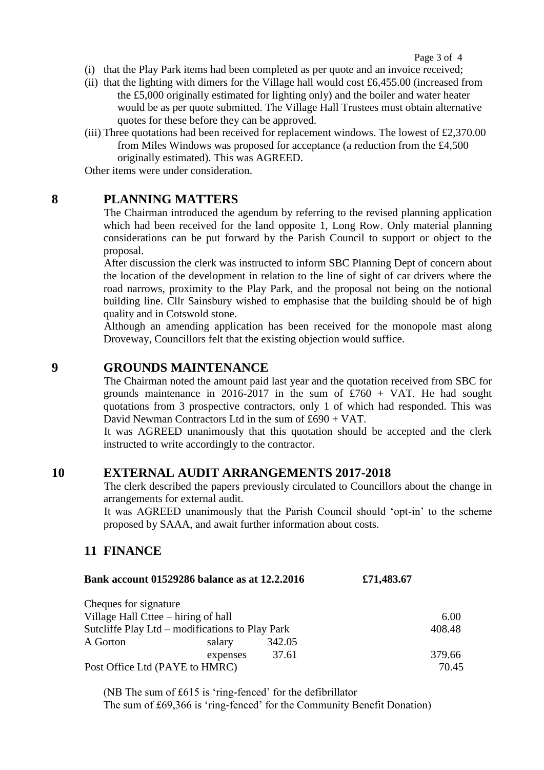- (i) that the Play Park items had been completed as per quote and an invoice received;
- (ii) that the lighting with dimers for the Village hall would cost  $\text{\pounds}6,455.00$  (increased from the £5,000 originally estimated for lighting only) and the boiler and water heater would be as per quote submitted. The Village Hall Trustees must obtain alternative quotes for these before they can be approved.
- (iii) Three quotations had been received for replacement windows. The lowest of £2,370.00 from Miles Windows was proposed for acceptance (a reduction from the £4,500 originally estimated). This was AGREED.

Other items were under consideration.

### **8 PLANNING MATTERS**

The Chairman introduced the agendum by referring to the revised planning application which had been received for the land opposite 1, Long Row. Only material planning considerations can be put forward by the Parish Council to support or object to the proposal.

After discussion the clerk was instructed to inform SBC Planning Dept of concern about the location of the development in relation to the line of sight of car drivers where the road narrows, proximity to the Play Park, and the proposal not being on the notional building line. Cllr Sainsbury wished to emphasise that the building should be of high quality and in Cotswold stone.

Although an amending application has been received for the monopole mast along Droveway, Councillors felt that the existing objection would suffice.

# **9 GROUNDS MAINTENANCE**

The Chairman noted the amount paid last year and the quotation received from SBC for grounds maintenance in 2016-2017 in the sum of  $£760 + VAT$ . He had sought quotations from 3 prospective contractors, only 1 of which had responded. This was David Newman Contractors Ltd in the sum of £690 + VAT.

It was AGREED unanimously that this quotation should be accepted and the clerk instructed to write accordingly to the contractor.

## **10 EXTERNAL AUDIT ARRANGEMENTS 2017-2018**

The clerk described the papers previously circulated to Councillors about the change in arrangements for external audit.

It was AGREED unanimously that the Parish Council should 'opt-in' to the scheme proposed by SAAA, and await further information about costs.

## **11 FINANCE**

| Bank account 01529286 balance as at 12.2.2016 | £71,483.67 |
|-----------------------------------------------|------------|
|                                               |            |

| Cheques for signature                           |          |        |        |
|-------------------------------------------------|----------|--------|--------|
| Village Hall Cttee – hiring of hall             |          | 6.00   |        |
| Sutcliffe Play Ltd – modifications to Play Park |          | 408.48 |        |
| A Gorton                                        | salary   | 342.05 |        |
|                                                 | expenses | 37.61  | 379.66 |
| Post Office Ltd (PAYE to HMRC)                  |          | 70.45  |        |

(NB The sum of £615 is 'ring-fenced' for the defibrillator The sum of £69,366 is 'ring-fenced' for the Community Benefit Donation)